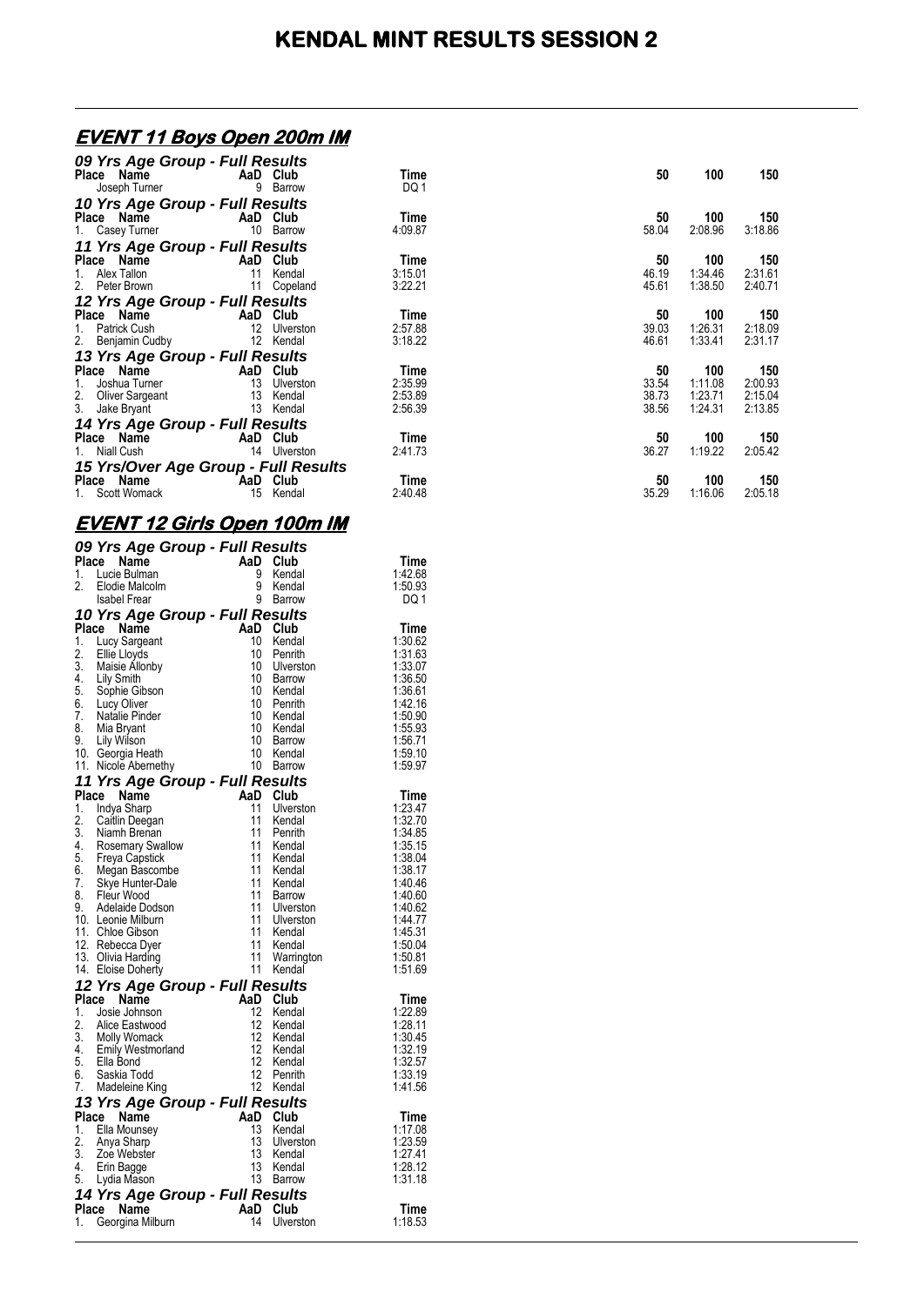## **EVENT 11 Boys Open 200m IM**

| 09 Yrs Age Group - Full Results      |    |           |         |       |         |         |
|--------------------------------------|----|-----------|---------|-------|---------|---------|
| Place Name                           |    | AaD Club  | Time    | 50    | 100     | 150     |
| Joseph Turner                        | 9  | Barrow    | DQ 1    |       |         |         |
| 10 Yrs Age Group - Full Results      |    |           |         |       |         |         |
| Place Name                           |    | AaD Club  | Time    | 50    | 100     | 150     |
| 1. Casey Turner                      | 10 | Barrow    | 4:09.87 | 58.04 | 2:08.96 | 3:18.86 |
| 11 Yrs Age Group - Full Results      |    |           |         |       |         |         |
| Place Name                           |    | AaD Club  | Time    | 50    | 100     | 150     |
| Alex Tallon<br>1.                    | 11 | Kendal    | 3:15.01 | 46.19 | 1:34.46 | 2:31.61 |
| 2. Peter Brown                       | 11 | Copeland  | 3:22.21 | 45.61 | 1:38.50 | 2:40.71 |
| 12 Yrs Age Group - Full Results      |    |           |         |       |         |         |
| Place Name                           |    | AaD Club  | Time    | 50    | 100     | 150     |
| Patrick Cush<br>1.                   | 12 | Ulverston | 2:57.88 | 39.03 | 1:26.31 | 2:18.09 |
| 2. Benjamin Cudby                    | 12 | Kendal    | 3:18.22 | 46.61 | 1:33.41 | 2:31.17 |
| 13 Yrs Age Group - Full Results      |    |           |         |       |         |         |
| Place Name                           |    | AaD Club  | Time    | 50    | 100     | 150     |
| Joshua Turner<br>1.                  | 13 | Ulverston | 2:35.99 | 33.54 | 1:11.08 | 2:00.93 |
| 2. Oliver Sargeant                   | 13 | Kendal    | 2:53.89 | 38.73 | 1:23.71 | 2:15.04 |
| 3.<br>Jake Bryant                    | 13 | Kendal    | 2:56.39 | 38.56 | 1:24.31 | 2:13.85 |
| 14 Yrs Age Group - Full Results      |    |           |         |       |         |         |
| Place Name                           |    | AaD Club  | Time    | 50    | 100     | 150     |
| 1.<br>Niall Cush                     | 14 | Ulverston | 2:41.73 | 36.27 | 1:19.22 | 2:05.42 |
| 15 Yrs/Over Age Group - Full Results |    |           |         |       |         |         |
| Place Name                           |    | AaD Club  | Time    | 50    | 100     | 150     |
| Scott Womack                         | 15 | Kendal    | 2:40.48 | 35.29 | 1:16.06 | 2:05.18 |

### **EVENT 12 Girls Open 100m IM**

|       | 09 Yrs Age Group - Full Results                                                  |                              |                  |                    |
|-------|----------------------------------------------------------------------------------|------------------------------|------------------|--------------------|
| Place | $\mathsf{AaD}_9^9$<br>Name                                                       |                              | Club             | Time               |
| 1.    | Lucie Bulman                                                                     |                              | Kendal           | 1:42.68            |
| 2.    | Elodie Malcolm                                                                   |                              | Kendal           | 1:50.93            |
|       | <b>Isabel Frear</b>                                                              | 9                            | Barrow           | DQ 1               |
|       | 10 Yrs Age Group - Full Results                                                  |                              |                  |                    |
|       | Place Name                                                                       | AaD Club                     |                  | Time               |
| 1.    | <b>Lucy Sargeant</b>                                                             | 10                           | Kendal           | 1:30.62            |
| 2.    | Ellie Lloyds                                                                     | 10                           | Penrith          | 1:31.63            |
| 3.    | Maisie Allonby                                                                   | 10                           | Ulverston        | 1:33.07            |
|       |                                                                                  | 10                           | <b>Barrow</b>    | 1:36.50            |
|       |                                                                                  | 10                           | Kendal           | 1:36.61            |
|       | 4. Lily Smith<br>5. Sophie Gibson<br>6. Lucy Oliver<br>7. Natalie Pinder         | 10                           | Penrith          | 1:42.16            |
|       |                                                                                  | 10                           | Kendal           | 1:50.90            |
| 8.    | Mia Bryant                                                                       | 10                           | Kendal           | 1:55.93            |
| 9.    | Lily Wilson                                                                      | 10                           | Barrow           | 1:56.71            |
|       | 10. Georgia Heath                                                                | 10                           | Kendal           | 1:59.10            |
|       | 11. Nicole Abernethy                                                             | 10                           | Barrow           | 1:59.97            |
|       | 11 Yrs Age Group - Full Results                                                  |                              |                  |                    |
| Place | Name                                                                             | AaD                          | Club             | Time               |
| 1.    | Indya Sharp                                                                      | 11                           | Ulverston        | 1:23.47            |
| 2.    | Caitlin Deegan                                                                   | 11                           | Kendal           | 1:32.70            |
| 3.    |                                                                                  | 11                           | Penrith          | 1:34.85            |
|       | 3. Niamh Brenan<br>4. Rosemary Swallow<br>5. Freya Capstick<br>6. Megan Bascombe | 11                           | Kendal           | 1:35.15            |
|       |                                                                                  | 11                           | Kendal           | 1:38.04            |
| 7.    | Skye Hunter-Dale                                                                 | 11<br>11                     | Kendal           | 1:38.17<br>1:40.46 |
| 8.    | Fleur Wood                                                                       | 11                           | Kendal<br>Barrow | 1:40.60            |
| 9.    | Adelaide Dodson                                                                  | 11                           | Ulverston        | 1:40.62            |
|       | 10. Leonie Milburn                                                               | 11                           | Ulverston        | 1:44.77            |
|       | 11. Chloe Gibson                                                                 | 11                           | Kendal           | 1:45.31            |
|       | 12. Rebecca Dyer                                                                 | 11                           | Kendal           | 1:50.04            |
|       | 13. Olivia Harding                                                               | 11                           | Warrington       | 1:50.81            |
|       | 14. Eloise Doherty                                                               | 11                           | Kendal           | 1:51.69            |
|       | 12 Yrs Age Group - Full Results                                                  |                              |                  |                    |
| Place | Name                                                                             | AaD Club                     |                  | Time               |
| 1.    | Josie Johnson                                                                    | 12                           | Kendal           | 1:22.89            |
| 2.    | Alice Eastwood                                                                   | 12                           | Kendal           | 1:28.11            |
|       |                                                                                  | 12                           | Kendal           | 1:30.45            |
|       | 2. Alice Eastwood<br>3. Molly Womack<br>4. Emily Westmorland<br>5. Ella Bond     | 12                           | Kendal           | 1:32.19            |
|       |                                                                                  | 12                           | Kendal           | 1:32.57            |
|       | 6. Saskia Todd                                                                   | 12                           | Penrith          | 1:33.19            |
| 7.    | Madeleine King                                                                   |                              | 12 Kendal        | 1:41.56            |
|       | 13 Yrs Age Group - Full Results                                                  |                              |                  |                    |
|       | Place Name                                                                       | AaD                          | Club             | Time               |
| 1.    | Ella Mounsey                                                                     | 13                           | Kendal           | 1:17.08            |
| 2.    | Anya Sharp                                                                       | 13                           | Ulverston        | 1:23.59            |
| 3.    | Zoe Webster                                                                      | 13                           | Kendal           | 1:27.41            |
|       | 4. Erin Bagge                                                                    | 13                           | Kendal           | 1:28.12            |
| 5.    | Lydia Mason                                                                      | 13                           | Barrow           | 1:31.18            |
|       | 14 Yrs Age Group - Full Results                                                  |                              |                  |                    |
|       | Place<br>Name                                                                    |                              |                  | Time               |
| 1.    | Georgina Milburn                                                                 | <b>AaD Club</b><br>14 Ulvers | Ulverston        | 1:18.53            |
|       |                                                                                  |                              |                  |                    |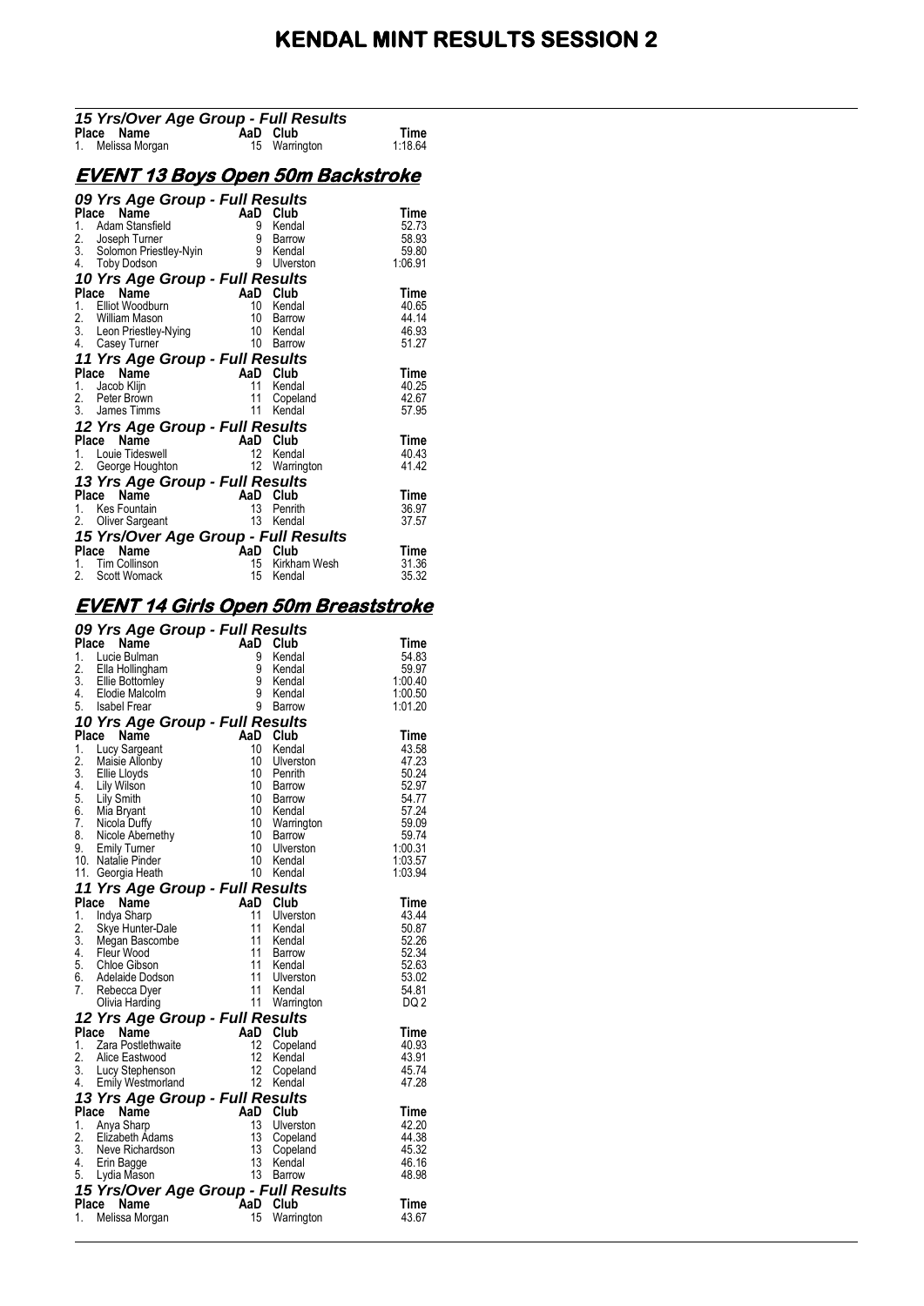# **KENDAL MINT RESULTS SESSION 2**

| 15 Yrs/Over Age Group - Full Results                                                                                                                                             |          |                                  |             |
|----------------------------------------------------------------------------------------------------------------------------------------------------------------------------------|----------|----------------------------------|-------------|
| <b>Place Name</b><br>1. Melissa Morgan <b>15 Warrir</b>                                                                                                                          |          | a <b>D GIUD</b><br>15 Warrington | Time        |
|                                                                                                                                                                                  |          |                                  | 1:18.64     |
|                                                                                                                                                                                  |          |                                  |             |
| <u>EVENT 13 Boys Open 50m Backstroke</u>                                                                                                                                         |          |                                  |             |
| 09 Yrs Age Group - Full Results                                                                                                                                                  |          |                                  |             |
| Place Name<br><b>Place Name<br/> 1.</b> Adam Stansfield<br>2. Joseph Turner<br>3. Solomon Priestley-Nyin<br>4. Toby Dodson<br>4. Toby Dodson<br>1. Toby Dodson<br>1. Toby Dodson | AaD Club |                                  | Time        |
|                                                                                                                                                                                  |          |                                  | 52.73       |
|                                                                                                                                                                                  |          | Barrow                           | 58.93       |
|                                                                                                                                                                                  |          |                                  | 59.80       |
| 4. Toby Dodson<br>an Ca                                                                                                                                                          |          | <b>Ulverston</b>                 | 1:06.91     |
| 10 Yrs Age Group - Full Results                                                                                                                                                  |          |                                  |             |
|                                                                                                                                                                                  |          |                                  | Time        |
|                                                                                                                                                                                  |          |                                  | 40.65       |
|                                                                                                                                                                                  |          |                                  | 44.14       |
|                                                                                                                                                                                  |          |                                  | 46.93       |
| Place Name<br>1. Elliot Woodburn<br>1. Elliot Woodburn<br>2. William Mason<br>3. Leon Priestley-Nying<br>4. Casey Turner<br>10 Barrow<br>10 Barrow                               |          |                                  | 51.27       |
| 11 Yrs Age Group - Full Results                                                                                                                                                  |          |                                  |             |
| Place Name<br>Place Name<br>1. Jacob Klijn<br>2. Peter Brown<br>3. James Timms                                                                                                   | AaD Club |                                  | <b>Time</b> |
|                                                                                                                                                                                  |          | 11 Kendal                        | 40.25       |
|                                                                                                                                                                                  | 11       | Copeland                         | 42.67       |
|                                                                                                                                                                                  |          | 11 Kendal                        | 57.95       |
| 12 Yrs Age Group - Full Results                                                                                                                                                  |          |                                  |             |
| <b>Place Name</b><br>1. Louie Tideswell <b>AaD Club</b><br>2. George Houghton 12 Warrin                                                                                          |          |                                  | <b>Time</b> |
|                                                                                                                                                                                  |          | Kendal                           | 40.43       |
|                                                                                                                                                                                  |          | Warrington                       | 41.42       |
| 13 Yrs Age Group - Full Results                                                                                                                                                  |          |                                  |             |
| Place Name<br>1. Kes Fountain<br>2. Oliver Sargeant                                                                                                                              | AaD      | Club                             | Time        |
|                                                                                                                                                                                  | 13       | Penrith                          | 36.97       |
|                                                                                                                                                                                  |          | 13 Kendal                        | 37.57       |
| 15 Yrs/Over Age Group - Full Results                                                                                                                                             |          |                                  |             |
| Place Name                                                                                                                                                                       |          |                                  | Time        |
| 1. Tim Collinson                                                                                                                                                                 |          | 15 Kirkham Wesh                  | 31.36       |
| $\begin{array}{ccc}\n & - & \text{AaD} & \text{Club} \\ \text{AaD} & \text{Club} & \text{Kirkha} \\ \text{k} & \text{15} & \text{Kenda}\n\end{array}$<br>2. Scott Womack         |          | Kendal                           | 35.32       |

### **EVENT 14 Girls Open 50m Breaststroke**

|       | 09 Yrs Age Group - Full Results                                                                               |                 |                    |               |
|-------|---------------------------------------------------------------------------------------------------------------|-----------------|--------------------|---------------|
|       | Place<br>Name                                                                                                 | AaD             | Club               | Time          |
| 1.    | Lucie Bulman                                                                                                  | 9               | Kendal             | 54.83         |
|       | 2. Ella Hollingham<br>3. Ellie Bottomley                                                                      | 9               | Kendal             | 59.97         |
|       |                                                                                                               | 9               | Kendal             | 1:00.40       |
|       | 4. Elodie Malcolm                                                                                             | 9               | Kendal             | 1:00.50       |
|       | 5. Isabel Frear                                                                                               | 9               | Barrow             | 1:01.20       |
|       | 10 Yrs Age Group - Full Results                                                                               |                 |                    |               |
|       | Place<br><b>Name</b>                                                                                          | AaD             | Club               | Time          |
|       | 1. Lucy Sargeant                                                                                              | 10              | Kendal             | 43.58         |
| 2.    | Maisie Allonby                                                                                                | 10              | Ulverston          | 47.23         |
| 3.    | Ellie Lloyds                                                                                                  | 10              | Penrith            | 50.24         |
| 4.    | Lily Wilson                                                                                                   | 10              | <b>Barrow</b>      | 52.97         |
|       | 5. Lily Smith                                                                                                 | 10 <sup>°</sup> | <b>Barrow</b>      | 54.77         |
|       | 6. Mia Bryant<br>7. Nicola Duffy                                                                              | 10 <sup>°</sup> | Kendal             | 57.24         |
|       |                                                                                                               | 10 <sup>1</sup> | Warrington         | 59.09         |
|       | 8. Nicole Abernethy                                                                                           | 10 <sup>°</sup> | Barrow             | 59.74         |
| 9.    | <b>Emily Turner</b>                                                                                           | 10              | Ulverston          | 1:00.31       |
|       | 10. Natalie Pinder                                                                                            | 10              | Kendal             | 1:03.57       |
|       | 11. Georgia Heath                                                                                             | 10              | Kendal             | 1:03.94       |
|       | 11 Yrs Age Group - Full Results                                                                               |                 |                    |               |
| Place | Name                                                                                                          | AaD             | Club               | Time          |
| 1.    | Indya Sharp                                                                                                   | 11              | Ulverston          | 43.44         |
| 2.    | Skye Hunter-Dale                                                                                              | 11              | Kendal             | 50.87         |
|       |                                                                                                               | 11              | Kendal             | 52.26         |
|       | 3. Megan Bascombe<br>4. Fleur Wood                                                                            | 11              | Barrow             | 52.34         |
|       | 5. Chloe Gibson                                                                                               | 11              | Kendal             | 52.63         |
|       | 6. Adelaide Dodson                                                                                            | 11              | Ulverston          | 53.02         |
| 7.    | Rebecca Dyer                                                                                                  | 11              | Kendal             | 54.81         |
|       | Olivia Harding                                                                                                | 11              | Warrington         | DQ 2          |
|       |                                                                                                               |                 |                    |               |
|       | 12 Yrs Age Group - Full Results                                                                               | AaD             | Club               |               |
|       | <b>Place Name</b><br>1. Zara Postlethwaite<br>2. Alice Eastwood<br>3. Lucy Stephenson<br>4. Emily Westmorland | 12              |                    | Time<br>40.93 |
|       |                                                                                                               | 12              | Copeland<br>Kendal | 43.91         |
|       |                                                                                                               | 12              |                    | 45.74         |
|       | Emily Westmorland                                                                                             | 12              | Copeland<br>Kendal | 47.28         |
|       |                                                                                                               |                 |                    |               |
|       | 13 Yrs Age Group - Full Results                                                                               |                 |                    |               |
|       | Place Name                                                                                                    | AaD Club        |                    | Time          |
| 1.    | Anya Sharp                                                                                                    | 13              | Ulverston          | 42.20         |
| 2.    | Elizabeth Adams                                                                                               | 13              | Copeland           | 44.38         |
|       | 3. Neve Richardson                                                                                            | 13              | Copeland           | 45.32         |
|       | 4. Erin Bagge                                                                                                 | 13              | Kendal             | 46.16         |
| 5.    | Lydia Mason                                                                                                   | 13              | <b>Barrow</b>      | 48.98         |
|       | 15 Yrs/Over Age Group - Full Results                                                                          |                 |                    |               |
| Place | Name                                                                                                          | <b>AaD</b>      | Club               | Time          |
| 1.    | Melissa Morgan                                                                                                | 15              | Warrington         | 43.67         |
|       |                                                                                                               |                 |                    |               |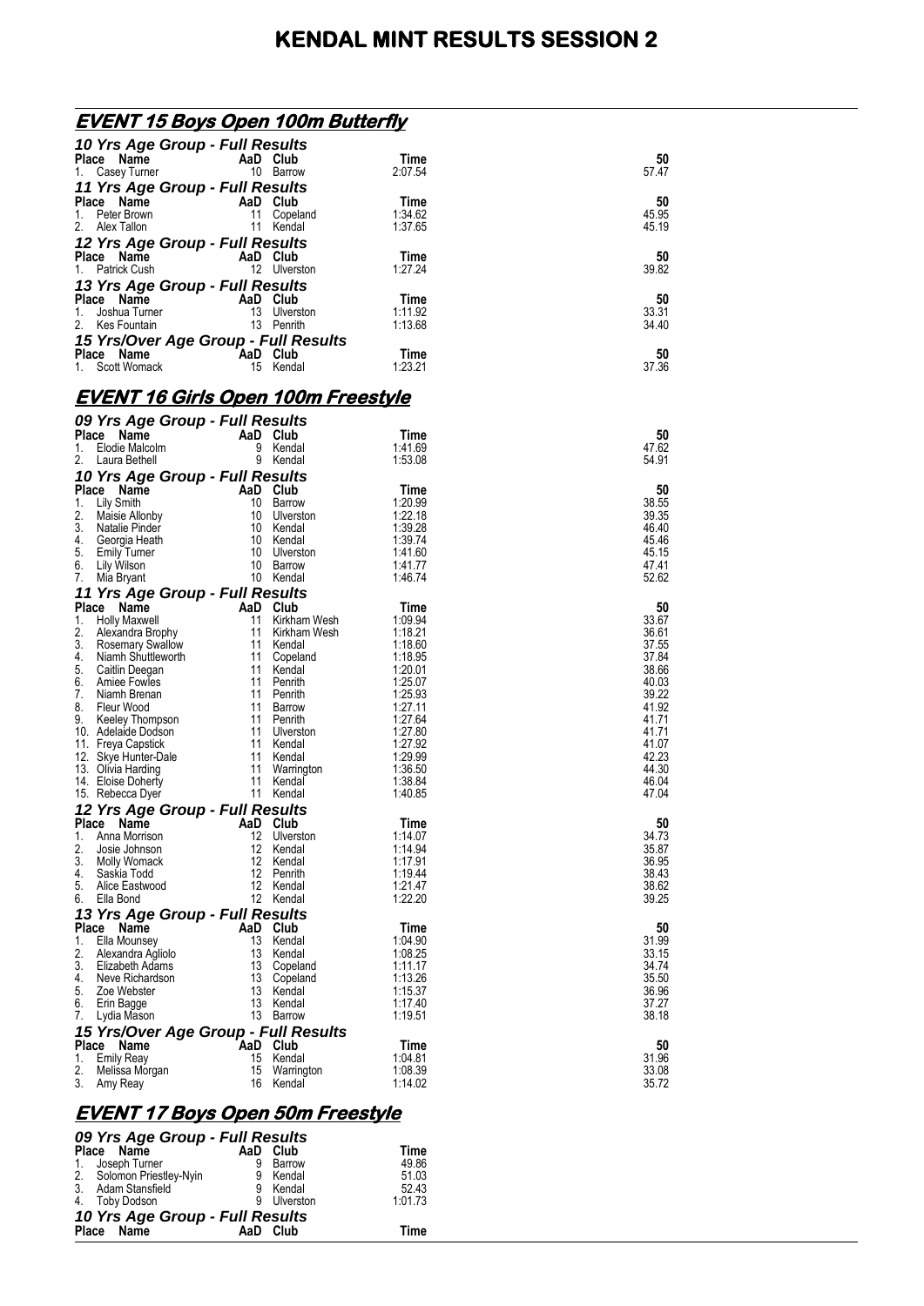| <u>EVENT 15 Boys Open 100m Butterfly</u>          |                                    |                    |                |
|---------------------------------------------------|------------------------------------|--------------------|----------------|
| 10 Yrs Age Group - Full Results                   |                                    |                    |                |
| Place Name                                        | AaD Club                           | Time               | 50             |
| 1.<br>Casey Turner                                | 10 Barrow                          | 2:07.54            | 57.47          |
| 11 Yrs Age Group - Full Results                   |                                    |                    |                |
| Place Name                                        | AaD Club                           | Time               | 50             |
| 1.<br>Peter Brown                                 | 11<br>Copeland                     | 1:34.62            | 45.95          |
| 2.<br>Alex Tallon                                 | 11 Kendal                          | 1:37.65            | 45.19          |
| 12 Yrs Age Group - Full Results                   |                                    |                    |                |
| Place Name                                        | AaD Club                           | Time               | 50             |
| 1.<br>Patrick Cush                                | 12 Ulverston                       | 1:27.24            | 39.82          |
| 13 Yrs Age Group - Full Results                   |                                    |                    |                |
| Place Name                                        | AaD Club                           | Time               | 50             |
| Joshua Turner<br>1.                               | 13 Ulverston                       | 1:11.92            | 33.31          |
| 2.<br>Kes Fountain                                | 13 Penrith                         | 1:13.68            | 34.40          |
| 15 Yrs/Over Age Group - Full Results              |                                    |                    |                |
| Place Name                                        | AaD Club                           | Time               | 50             |
| 1.<br>Scott Womack                                | 15 Kendal                          | 1:23.21            | 37.36          |
|                                                   |                                    |                    |                |
| <u>EVENT 16 Girls Open 100m Freestyle</u>         |                                    |                    |                |
|                                                   |                                    |                    |                |
| 09 Yrs Age Group - Full Results                   |                                    |                    |                |
| Place Name<br>1.<br>Elodie Malcolm                | AaD Club<br>9 Kendal               | Time<br>1:41.69    | 50<br>47.62    |
| 2.<br>Laura Bethell                               | 9 Kendal                           | 1:53.08            | 54.91          |
| 10 Yrs Age Group - Full Results                   |                                    |                    |                |
| Place Name                                        | AaD Club                           | Time               | 50             |
| 1. Lily Smith                                     | 10 Barrow                          | 1:20.99            | 38.55          |
| 2.<br>Maisie Allonby                              | 10 Ulverston                       | 1:22.18            | 39.35          |
| 3.<br>Natalie Pinder                              | 10 Kendal                          | 1:39.28            | 46.40          |
| 4.<br>Georgia Heath                               | 10 Kendal                          | 1:39.74            | 45.46          |
| 5.<br><b>Emily Turner</b>                         | 10 Ulverston                       | 1:41.60            | 45.15          |
| 6.<br>Lily Wilson                                 | 10 Barrow                          | 1:41.77            | 47.41          |
| 7.<br>Mia Bryant                                  | 10 Kendal                          | 1:46.74            | 52.62          |
| 11 Yrs Age Group - Full Results                   |                                    |                    |                |
| Place<br>Name                                     | AaD Club                           | Time               | 50             |
| 1.<br><b>Holly Maxwell</b><br>2.                  | 11 Kirkham Wesh<br>11 Kirkham Wesh | 1:09.94<br>1:18.21 | 33.67<br>36.61 |
| Alexandra Brophy<br>3.<br><b>Rosemary Swallow</b> | 11<br>Kendal                       | 1:18.60            | 37.55          |
| 4.<br>Niamh Shuttleworth                          | 11 Copeland                        | 1:18.95            | 37.84          |
| 5.<br>Caitlin Deegan                              | 11 Kendal                          | 1:20.01            | 38.66          |
| 6.<br>Amiee Fowles                                | 11<br>Penrith                      | 1:25.07            | 40.03          |
| 7.<br>Niamh Brenan                                | 11 Penrith                         | 1:25.93            | 39.22          |
| 8.<br>Fleur Wood<br>9.                            | 11 Barrow<br>11 Penrith            | 1:27.11<br>1:27.64 | 41.92          |
| Keeley Thompson<br>10. Adelaide Dodson            | 11 Ulverston                       | 1:27.80            | 41.71<br>41.71 |
| 11. Freya Capstick                                | 11 Kendal                          | 1:27.92            | 41.07          |
| 12. Skye Hunter-Dale                              | 11<br>Kendal                       | 1:29.99            | 42.23          |
| 13. Olivia Harding                                | 11 Warrington                      | 1:36.50            | 44.30          |
| 14. Eloise Doherty                                | 11<br>Kendal                       | 1:38.84            | 46.04          |
| 15. Rebecca Dyer                                  | 11<br>Kendal                       | 1:40.85            | 47.04          |
| 12 Yrs Age Group - Full Results                   |                                    |                    |                |
| Place<br>Name                                     | AaD Club                           | Time               | 50             |
| 1.<br>Anna Morrison                               | 12<br>Ulverston                    | 1:14.07            | 34.73          |
| 2.<br>Josie Johnson<br>3.                         | 12<br>Kendal<br>12<br>Kendal       | 1:14.94<br>1:17.91 | 35.87<br>36.95 |
| Molly Womack<br>4.<br>Saskia Todd                 | 12<br>Penrith                      | 1:19.44            | 38.43          |
| 5.<br>Alice Eastwood                              | 12<br>Kendal                       | 1:21.47            | 38.62          |
| Ella Bond<br>6.                                   | 12 Kendal                          | 1:22.20            | 39.25          |
| 13 Yrs Age Group - Full Results                   |                                    |                    |                |
| Place Name                                        | AaD Club                           | Time               | 50             |
| Ella Mounsey<br>1.                                | 13<br>Kendal                       | 1:04.90            | 31.99          |
| 2.<br>Alexandra Agliolo                           | 13<br>Kendal                       | 1:08.25            | 33.15          |
| 3.<br>Elizabeth Adams                             | 13<br>Copeland                     | 1:11.17            | 34.74          |
| 4.<br>Neve Richardson<br>5.                       | 13<br>Copeland<br>13               | 1:13.26<br>1:15.37 | 35.50          |
| Zoe Webster<br>6.<br>Erin Bagge                   | Kendal<br>13<br>Kendal             | 1:17.40            | 36.96<br>37.27 |
| 7.<br>Lydia Mason                                 | 13 Barrow                          | 1:19.51            | 38.18          |
| 15 Yrs/Over Age Group - Full Results              |                                    |                    |                |
| <b>Place</b><br>Name                              | AaD Club                           | Time               | 50             |
| 1.<br>Emily Reay                                  | 15<br>Kendal                       | 1:04.81            | 31.96          |
| 2.<br>Melissa Morgan                              | 15<br>Warrington                   | 1:08.39            | 33.08          |
| 3.<br>Amy Reay                                    | 16<br>Kendal                       | 1:14.02            | 35.72          |
|                                                   |                                    |                    |                |
| EVENT 17 Boys Open 50m Freestyle                  |                                    |                    |                |

#### **EVENT 17 Boys Open 50m Freestyle**  *09 Yrs Age Group - Full Results*

| Place Name                | AaD |        | Time                                                                                                                    |
|---------------------------|-----|--------|-------------------------------------------------------------------------------------------------------------------------|
| 1. Joseph Turner          |     | Barrow | 49.86                                                                                                                   |
| 2. Solomon Priestley-Nyin |     |        | 51.03                                                                                                                   |
| 3. Adam Stansfield        |     |        | 52.43                                                                                                                   |
| 4. Toby Dodson            |     |        | 1:01.73                                                                                                                 |
|                           |     |        |                                                                                                                         |
| Place Name                |     |        | Time                                                                                                                    |
|                           |     |        | 09 Yrs Age Group - Full Results<br>Club<br>Kendal<br>Kendal<br>Ulverston<br>10 Yrs Age Group - Full Results<br>AaD Club |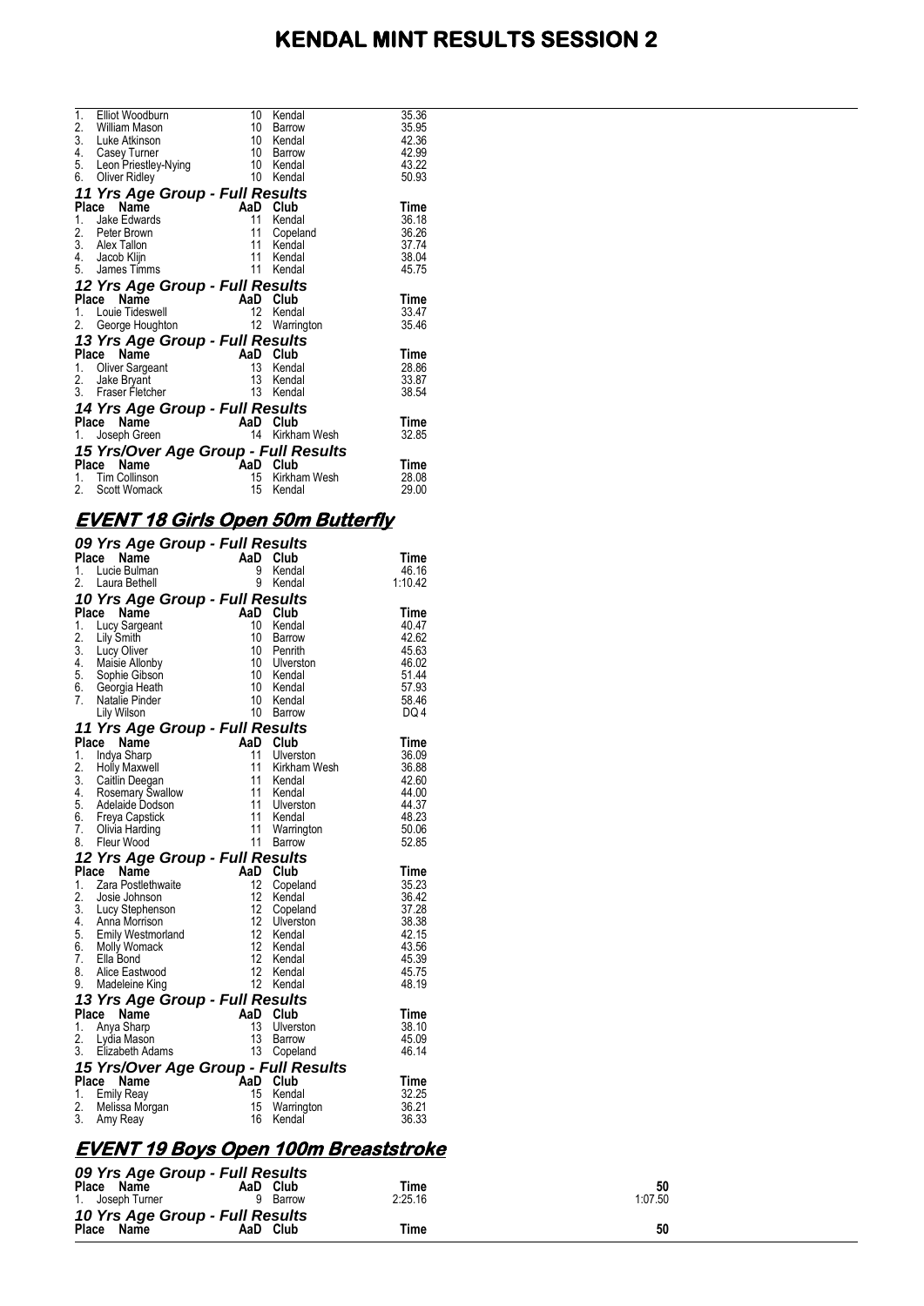# **KENDAL MINT RESULTS SESSION 2**

|    | 1. Elliot Woodburn                   | 10  | Kendal          | 35.36 |
|----|--------------------------------------|-----|-----------------|-------|
|    | 2. William Mason                     | 10  | Barrow          | 35.95 |
|    | 3. Luke Atkinson                     | 10  | Kendal          | 42.36 |
|    | 4. Casey Turner                      | 10  | Barrow          | 42.99 |
|    | 5. Leon Priestley-Nying              | 10  | Kendal          | 43.22 |
| 6. | Oliver Ridley                        | 10  | Kendal          | 50.93 |
|    | 11 Yrs Age Group - Full Results      |     |                 |       |
|    | Name<br>Place                        |     | AaD Club        | Time  |
| 1. | Jake Edwards                         | 11  | Kendal          | 36.18 |
|    | 2. Peter Brown                       | 11  | Copeland        | 36.26 |
|    | $\overline{3}$ . Alex Tallon         | 11  | Kendal          | 37.74 |
|    | 4. Jacob Klijn                       | 11  | Kendal          | 38.04 |
|    | 5. James Timms                       | 11  | Kendal          | 45.75 |
|    | 12 Yrs Age Group - Full Results      |     |                 |       |
|    | Name<br>Place                        | AaD | Club            | Time  |
|    | 1. Louie Tideswell                   | 12  | Kendal          | 33.47 |
| 2. | George Houghton                      | 12  | Warrington      | 35.46 |
|    | 13 Yrs Age Group - Full Results      |     |                 |       |
|    | Place Name                           |     | AaD Club        | Time  |
| 1. | Oliver Sargeant                      | 13  | Kendal          | 28.86 |
|    | 2. Jake Bryant                       | 13  | Kendal          | 33.87 |
|    | 3. Fraser Fletcher                   | 13  | Kendal          | 38.54 |
|    | 14 Yrs Age Group - Full Results      |     |                 |       |
|    | Place Name                           | AaD | Club            | Time  |
| 1. | Joseph Green                         |     | 14 Kirkham Wesh | 32.85 |
|    | 15 Yrs/Over Age Group - Full Results |     |                 |       |
|    | Name<br>Place                        | AaD | Club            | Time  |
| 1. | Tim Collinson                        | 15  | Kirkham Wesh    | 28.08 |
| 2. | Scott Womack                         | 15  | Kendal          | 29.00 |
|    |                                      |     |                 |       |

## **EVENT 18 Girls Open 50m Butterfly**

|    | 09 Yrs Age Group - Full Results                                                                                                                 |                                                              |                  |                |
|----|-------------------------------------------------------------------------------------------------------------------------------------------------|--------------------------------------------------------------|------------------|----------------|
|    | Place Name                                                                                                                                      | $AaD$ <sub>9</sub>                                           | Club             | Time           |
| 1. | Lucie Bulman                                                                                                                                    |                                                              | Kendal           | 46.16          |
| 2. | Laura Bethell                                                                                                                                   | 9                                                            | Kendal           | 1:10.42        |
|    | 10 Yrs Age Group - Full Results                                                                                                                 |                                                              |                  |                |
|    | Place Name                                                                                                                                      | AaD Club                                                     |                  | Time           |
| 1. | Lucy Sargeant                                                                                                                                   | 10                                                           | Kendal           | 40.47          |
| 2. | Lily Smith                                                                                                                                      | 10                                                           | <b>Barrow</b>    | 42.62          |
|    | 2. Luy Oliver<br>3. Lucy Oliver<br>5. Sophie Gibson<br>6. Georgia Heath<br>7. Natalie Pinder<br>1. Wilson                                       | 10                                                           | Penrith          | 45.63          |
|    |                                                                                                                                                 | 10 <sup>°</sup>                                              | Ulverston        | 46.02          |
|    |                                                                                                                                                 | 10<br>10 <sup>°</sup>                                        | Kendal<br>Kendal | 51.44<br>57.93 |
|    |                                                                                                                                                 | 10                                                           | Kendal           | 58.46          |
|    | Lily Wilson                                                                                                                                     | $10-10$                                                      | Barrow           | DQ 4           |
|    |                                                                                                                                                 |                                                              |                  |                |
|    | 11 Yrs Age Group - Full Results                                                                                                                 | AaD Club<br>11 Ulvers<br>11 Kirkha<br>11 Kends               |                  | Time           |
| 1. | Place Name<br>Indya Sharp                                                                                                                       |                                                              | Ulverston        | 36.09          |
|    |                                                                                                                                                 |                                                              | Kirkham Wesh     | 36.88          |
|    |                                                                                                                                                 |                                                              | Kendal           | 42.60          |
|    |                                                                                                                                                 | $\overline{11}$                                              | Kendal           | 44.00          |
|    |                                                                                                                                                 |                                                              | Ulverston        | 44.37          |
|    |                                                                                                                                                 |                                                              |                  | 48.23          |
|    | 1. Holy Maxwell<br>2. Holly Maxwell<br>3. Caitlin Deegan<br>4. Rosemary Swallow<br>5. Adelaide Dodson<br>6. Freya Capstick<br>7. Olivia Harding | n<br>11 Ulverster<br>11 Kendal<br>11 Warring<br>11 Barrow    | Warrington       | 50.06          |
|    | 8. Fleur Wood                                                                                                                                   | 11                                                           | Barrow           | 52.85          |
|    | 12 Yrs Age Group - Full Results                                                                                                                 | $\overline{AB}$<br>AaD Club<br>$\frac{12}{42}$ Com           |                  |                |
|    | Place Name                                                                                                                                      |                                                              |                  | Time           |
| 1. | Zara Postlethwaite                                                                                                                              |                                                              | Copeland         | 35.23          |
| 2. | Josie Johnson                                                                                                                                   |                                                              | Kendal           | 36.42          |
|    | 2. Jose Johnson<br>3. Lucy Stephenson<br>4. Anna Morrison<br>5. Emily Westmorland<br>6. Molly Womack<br>7. Ellia Bond                           | 12                                                           | Copeland         | 37.28          |
|    |                                                                                                                                                 | 12                                                           | Ulverston        | 38.38          |
|    |                                                                                                                                                 | 12<br>12                                                     | Kendal           | 42.15<br>43.56 |
|    |                                                                                                                                                 | 12                                                           | Kendal<br>Kendal | 45.39          |
|    | 8. Alice Eastwood                                                                                                                               | 12                                                           | Kendal           | 45.75          |
|    | 9. Madeleine King                                                                                                                               |                                                              | 12 Kendal        | 48.19          |
|    | 13 Yrs Age Group - Full Results                                                                                                                 |                                                              |                  |                |
|    | Place Name                                                                                                                                      | AaD Club<br>13 Ulvers<br>13 Barrov<br>13 Barrov<br>13 Conela |                  | Time           |
| 1. | Anya Sharp                                                                                                                                      |                                                              | Ulverston        | 38.10          |
|    | 2. Lydia Mason                                                                                                                                  |                                                              | Barrow           | 45.09          |
|    | 3. Elizabeth Adams                                                                                                                              |                                                              | Copeland         | 46.14          |
|    | 15 Yrs/Over Age Group - Full Results                                                                                                            |                                                              |                  |                |
|    | Place Name                                                                                                                                      | <b>AaD</b>                                                   | Club             | Time           |
| 1. | Emily Reay                                                                                                                                      | 15                                                           | Kendal           | 32.25          |
| 2. | Melissa Morgan                                                                                                                                  | 15                                                           | Warrington       | 36.21          |
| 3. | Amy Reay                                                                                                                                        | 16                                                           | Kendal           | 36.33          |

## **EVENT 19 Boys Open 100m Breaststroke**

| 09 Yrs Age Group - Full Results               |               |         |         |
|-----------------------------------------------|---------------|---------|---------|
| Place Name                                    | AaD Club      | Time    | 50      |
| 1. Joseph Turner                              | <b>Barrow</b> | 2:25.16 | 1:07.50 |
| 10 Yrs Age Group - Full Results<br>Place Name | AaD Club      | Time    | 50      |